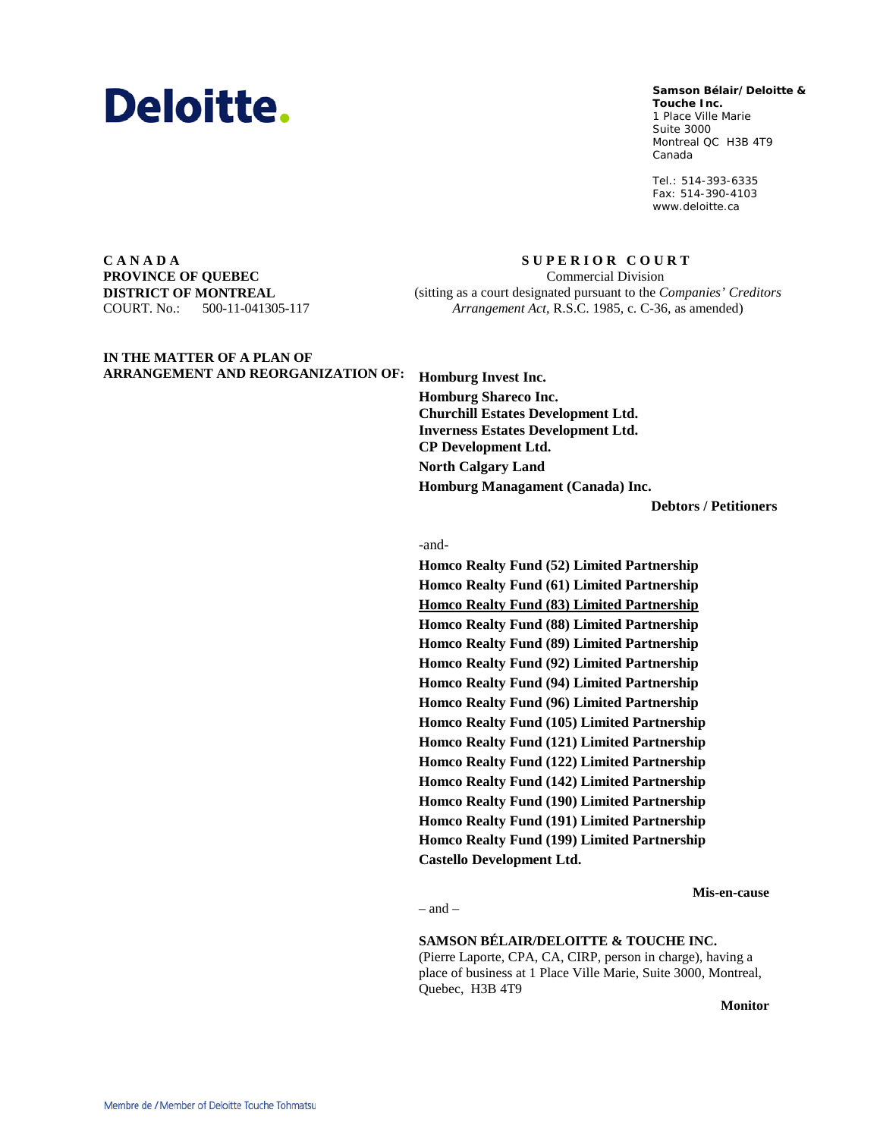

#### **Samson Bélair/Deloitte & Samson Bélair/Deloitte &**

**Touche Inc. Touche Inc.** 1, Place Ville Marie 1 Place Ville Marie Suite 3000 Montréal QC H3B 4T9 Montreal QC H3B 4T9 Canada Canada

Tél. : 514-393-6335 Tel.: 514-393-6335 Téléc. : 514-390-4103 Fax: 514-390-4103 www.deloitte.ca www.deloitte.ca

**C A N A D A PROVINCE OF QUEBEC DISTRICT OF MONTREAL** COURT. No.: 500-11-041305-117

**S U P E R I O R C O U R T** Commercial Division (sitting as a court designated pursuant to the *Companies' Creditors Arrangement Act*, R.S.C. 1985, c. C-36, as amended)

**IN THE MATTER OF A PLAN OF** 

**ARRANGEMENT AND REORGANIZATION OF: Homburg Invest Inc. Homburg Shareco Inc. Churchill Estates Development Ltd. Inverness Estates Development Ltd. CP Development Ltd. North Calgary Land Homburg Managament (Canada) Inc.**

**Debtors / Petitioners**

### -and-

**Homco Realty Fund (52) Limited Partnership Homco Realty Fund (61) Limited Partnership Homco Realty Fund (83) Limited Partnership Homco Realty Fund (88) Limited Partnership Homco Realty Fund (89) Limited Partnership Homco Realty Fund (92) Limited Partnership Homco Realty Fund (94) Limited Partnership Homco Realty Fund (96) Limited Partnership Homco Realty Fund (105) Limited Partnership Homco Realty Fund (121) Limited Partnership Homco Realty Fund (122) Limited Partnership Homco Realty Fund (142) Limited Partnership Homco Realty Fund (190) Limited Partnership Homco Realty Fund (191) Limited Partnership Homco Realty Fund (199) Limited Partnership Castello Development Ltd.**

### **Mis-en-cause**

 $=$  and  $=$ 

**SAMSON BÉLAIR/DELOITTE & TOUCHE INC.**

(Pierre Laporte, CPA, CA, CIRP, person in charge), having a place of business at 1 Place Ville Marie, Suite 3000, Montreal, Quebec, H3B 4T9

**Monitor**